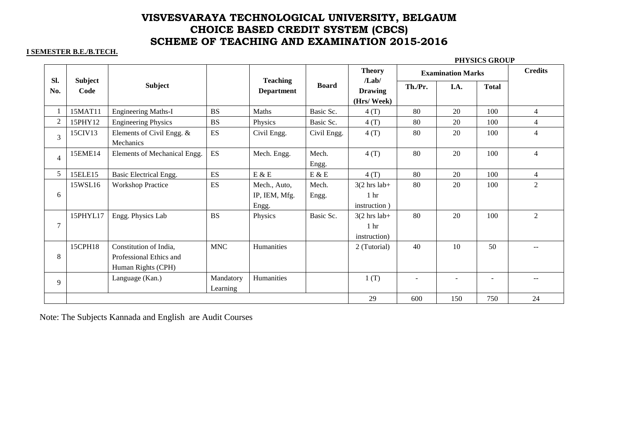### **I SEMESTER B.E./B.TECH.**

### **PHYSICS GROUP**

|                |                        |                                                                         |                       |                                      |                | <b>Theory</b>                                                     | <b>Examination Marks</b> |      |                          | <b>Credits</b> |
|----------------|------------------------|-------------------------------------------------------------------------|-----------------------|--------------------------------------|----------------|-------------------------------------------------------------------|--------------------------|------|--------------------------|----------------|
| Sl.<br>No.     | <b>Subject</b><br>Code | <b>Subject</b>                                                          |                       | <b>Teaching</b><br><b>Department</b> | <b>Board</b>   | /Lab/<br><b>Drawing</b><br>(Hrs/Week)                             | Th./Pr.                  | I.A. | <b>Total</b>             |                |
| 1              | 15MAT11                | <b>Engineering Maths-I</b>                                              | <b>BS</b>             | Maths                                | Basic Sc.      | 4(T)                                                              | 80                       | 20   | 100                      | $\overline{4}$ |
| $\overline{2}$ | 15PHY12                | <b>Engineering Physics</b>                                              | <b>BS</b>             | Physics                              | Basic Sc.      | 4(T)                                                              | 80                       | 20   | 100                      | $\overline{4}$ |
| $\overline{3}$ | 15CIV13                | Elements of Civil Engg. $&$<br>Mechanics                                | <b>ES</b>             | Civil Engg.                          | Civil Engg.    | 4(T)                                                              | 80                       | 20   | 100                      | $\overline{4}$ |
| $\overline{4}$ | 15EME14                | Elements of Mechanical Engg.                                            | ES                    | Mech. Engg.                          | Mech.<br>Engg. | 4(T)                                                              | 80                       | 20   | 100                      | $\overline{4}$ |
| 5              | 15ELE15                | Basic Electrical Engg.                                                  | <b>ES</b>             | $E \& E$                             | $E$ & $E$      | 4(T)                                                              | 80                       | 20   | 100                      | $\overline{4}$ |
|                | 15WSL16                | <b>Workshop Practice</b>                                                | <b>ES</b>             | Mech., Auto,                         | Mech.          | $3(2 \text{ hrs} \text{ lab}+$                                    | 80                       | 20   | 100                      | $\overline{2}$ |
| 6              |                        |                                                                         |                       | IP, IEM, Mfg.                        | Engg.          | 1 <sub>hr</sub>                                                   |                          |      |                          |                |
|                |                        |                                                                         |                       | Engg.                                |                | instruction)                                                      |                          |      |                          |                |
| 7              | 15PHYL17               | Engg. Physics Lab                                                       | <b>BS</b>             | Physics                              | Basic Sc.      | $3(2 \text{ hrs} \text{ lab}+$<br>1 <sub>hr</sub><br>instruction) | 80                       | 20   | 100                      | $\overline{2}$ |
| 8              | 15CPH18                | Constitution of India,<br>Professional Ethics and<br>Human Rights (CPH) | <b>MNC</b>            | Humanities                           |                | 2 (Tutorial)                                                      | 40                       | 10   | 50                       |                |
| 9              |                        | Language (Kan.)                                                         | Mandatory<br>Learning | Humanities                           |                | 1(T)                                                              |                          |      | $\overline{\phantom{a}}$ |                |
|                |                        |                                                                         |                       |                                      |                | 29                                                                | 600                      | 150  | 750                      | 24             |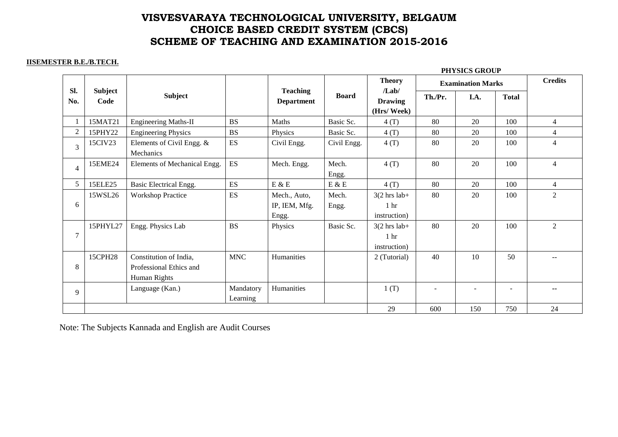#### **IISEMESTER B.E./B.TECH.**

|                |                 |                                                                   |                       |                                        |                               |                                                                    | PHYSICS GROUP            |        |                          |                |  |  |
|----------------|-----------------|-------------------------------------------------------------------|-----------------------|----------------------------------------|-------------------------------|--------------------------------------------------------------------|--------------------------|--------|--------------------------|----------------|--|--|
|                |                 |                                                                   |                       |                                        |                               | <b>Theory</b>                                                      | <b>Examination Marks</b> |        |                          | <b>Credits</b> |  |  |
| Sl.<br>No.     | Subject<br>Code | <b>Subject</b>                                                    |                       | <b>Teaching</b><br><b>Department</b>   | <b>Board</b>                  | /Lab/<br><b>Drawing</b><br>(Hrs/Week)                              | Th./Pr.                  | I.A.   | <b>Total</b>             |                |  |  |
|                | 15MAT21         | <b>Engineering Maths-II</b>                                       | <b>BS</b>             | Maths                                  | Basic Sc.                     | 4(T)                                                               | 80                       | 20     | 100                      | $\overline{4}$ |  |  |
| $\overline{2}$ | 15PHY22         | <b>Engineering Physics</b>                                        | <b>BS</b>             | Physics                                | Basic Sc.                     | 4(T)                                                               | 80                       | 20     | 100                      | $\overline{4}$ |  |  |
| 3              | 15CIV23         | Elements of Civil Engg. &<br>Mechanics                            | <b>ES</b>             | Civil Engg.                            | Civil Engg.                   | 4(T)                                                               | 80                       | 20     | 100                      | $\overline{4}$ |  |  |
| 4              | 15EME24         | Elements of Mechanical Engg.                                      | ES                    | Mech. Engg.                            | Mech.<br>Engg.                | 4(T)                                                               | 80                       | 20     | 100                      | $\overline{4}$ |  |  |
| 5              | 15ELE25         | Basic Electrical Engg.                                            | ES                    | $E \& E$                               | $\mathcal{E}$ & $\mathcal{E}$ | 4(T)                                                               | 80                       | 20     | 100                      | $\overline{4}$ |  |  |
| 6              | 15WSL26         | <b>Workshop Practice</b>                                          | ES                    | Mech., Auto,<br>IP, IEM, Mfg.<br>Engg. | Mech.<br>Engg.                | $3(2 \text{ hrs} \text{ lab}+$<br>1 <sub>hr</sub><br>instruction)  | 80                       | 20     | 100                      | 2              |  |  |
| $\overline{7}$ | 15PHYL27        | Engg. Physics Lab                                                 | <b>BS</b>             | Physics                                | Basic Sc.                     | $3(2 \text{ hrs} \text{ lab}+)$<br>1 <sub>hr</sub><br>instruction) | 80                       | 20     | 100                      | $\overline{2}$ |  |  |
| 8              | 15CPH28         | Constitution of India,<br>Professional Ethics and<br>Human Rights | <b>MNC</b>            | Humanities                             |                               | 2 (Tutorial)                                                       | 40                       | 10     | 50                       |                |  |  |
| 9              |                 | Language (Kan.)                                                   | Mandatory<br>Learning | Humanities                             |                               | 1(T)                                                               | $\overline{\phantom{a}}$ | $\sim$ | $\overline{\phantom{a}}$ | --             |  |  |
|                |                 |                                                                   |                       |                                        |                               | 29                                                                 | 600                      | 150    | 750                      | 24             |  |  |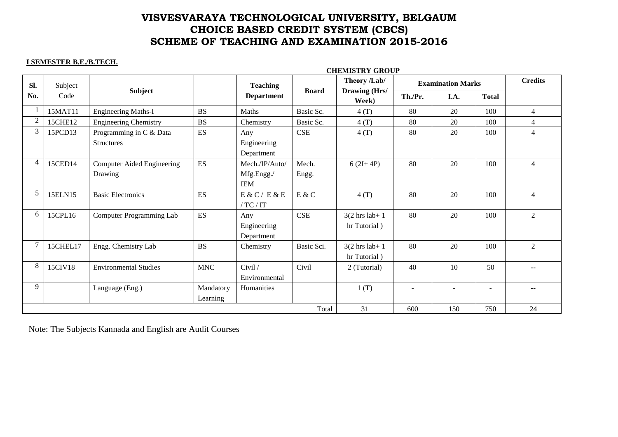#### **I SEMESTER B.E./B.TECH.**

|        |                 | <b>CHEMISTRY GROUP</b>                       |                          |                                            |                |                                            |                          |      |              |                |
|--------|-----------------|----------------------------------------------|--------------------------|--------------------------------------------|----------------|--------------------------------------------|--------------------------|------|--------------|----------------|
| Sl.    | Subject<br>Code | <b>Subject</b>                               |                          | <b>Teaching</b>                            | <b>Board</b>   | Theory /Lab/<br>Drawing (Hrs/<br>Week)     | <b>Examination Marks</b> |      |              | <b>Credits</b> |
| No.    |                 |                                              |                          | <b>Department</b>                          |                |                                            | Th./Pr.                  | I.A. | <b>Total</b> |                |
|        | 15MAT11         | <b>Engineering Maths-I</b>                   | <b>BS</b>                | Maths                                      | Basic Sc.      | 4(T)                                       | 80                       | 20   | 100          | $\overline{4}$ |
| 2      | 15CHE12         | <b>Engineering Chemistry</b>                 | <b>BS</b>                | Chemistry                                  | Basic Sc.      | 4(T)                                       | 80                       | 20   | 100          | $\overline{4}$ |
| 3      | 15PCD13         | Programming in C & Data<br><b>Structures</b> | $\mathop{\hbox{\rm ES}}$ | Any<br>Engineering<br>Department           | CSE            | 4(T)                                       | 80                       | 20   | 100          | $\overline{4}$ |
| 4      | 15CED14         | <b>Computer Aided Engineering</b><br>Drawing | <b>ES</b>                | Mech./IP/Auto/<br>Mfg.Engg./<br><b>IEM</b> | Mech.<br>Engg. | $6(2I+4P)$                                 | 80                       | 20   | 100          | $\overline{4}$ |
| 5      | 15ELN15         | <b>Basic Electronics</b>                     | <b>ES</b>                | E & C / E & E<br>/ TC / IT                 | E & C          | 4(T)                                       | 80                       | 20   | 100          | $\overline{4}$ |
| 6      | 15CPL16         | Computer Programming Lab                     | <b>ES</b>                | Any<br>Engineering<br>Department           | CSE            | $3(2 \text{ hrs lab} + 1)$<br>hr Tutorial) | 80                       | 20   | 100          | 2              |
| $\tau$ | 15CHEL17        | Engg. Chemistry Lab                          | <b>BS</b>                | Chemistry                                  | Basic Sci.     | $3(2 \text{ hrs lab} + 1)$<br>hr Tutorial) | 80                       | 20   | 100          | $\overline{2}$ |
| 8      | 15CIV18         | <b>Environmental Studies</b>                 | <b>MNC</b>               | Civil /<br>Environmental                   | Civil          | 2 (Tutorial)                               | 40                       | 10   | 50           |                |
| 9      |                 | Language (Eng.)                              | Mandatory<br>Learning    | Humanities                                 |                | 1(T)                                       |                          |      | ۰            |                |
|        |                 |                                              | 31                       | 600                                        | 150            | 750                                        | 24                       |      |              |                |